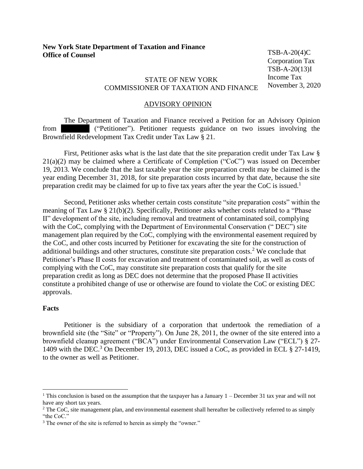TSB-A-20(4)C Corporation Tax TSB-A-20(13)I Income Tax November 3, 2020

## STATE OF NEW YORK COMMISSIONER OF TAXATION AND FINANCE

## ADVISORY OPINION

The Department of Taxation and Finance received a Petition for an Advisory Opinion from ("Petitioner"). Petitioner requests guidance on two issues involving the Brownfield Redevelopment Tax Credit under Tax Law § 21.

First, Petitioner asks what is the last date that the site preparation credit under Tax Law § 21(a)(2) may be claimed where a Certificate of Completion ("CoC") was issued on December 19, 2013. We conclude that the last taxable year the site preparation credit may be claimed is the year ending December 31, 2018, for site preparation costs incurred by that date, because the site preparation credit may be claimed for up to five tax years after the year the CoC is issued.<sup>1</sup>

Second, Petitioner asks whether certain costs constitute "site preparation costs" within the meaning of Tax Law § 21(b)(2). Specifically, Petitioner asks whether costs related to a "Phase II" development of the site, including removal and treatment of contaminated soil, complying with the CoC, complying with the Department of Environmental Conservation ("DEC") site management plan required by the CoC, complying with the environmental easement required by the CoC, and other costs incurred by Petitioner for excavating the site for the construction of additional buildings and other structures, constitute site preparation costs.<sup>2</sup> We conclude that Petitioner's Phase II costs for excavation and treatment of contaminated soil, as well as costs of complying with the CoC, may constitute site preparation costs that qualify for the site preparation credit as long as DEC does not determine that the proposed Phase II activities constitute a prohibited change of use or otherwise are found to violate the CoC or existing DEC approvals.

## **Facts**

Petitioner is the subsidiary of a corporation that undertook the remediation of a brownfield site (the "Site" or "Property"). On June 28, 2011, the owner of the site entered into a brownfield cleanup agreement ("BCA") under Environmental Conservation Law ("ECL") § 27- 1409 with the DEC.<sup>3</sup> On December 19, 2013, DEC issued a CoC, as provided in ECL § 27-1419, to the owner as well as Petitioner.

<sup>&</sup>lt;sup>1</sup> This conclusion is based on the assumption that the taxpayer has a January  $1 -$ December 31 tax year and will not have any short tax years.

<sup>&</sup>lt;sup>2</sup> The CoC, site management plan, and environmental easement shall hereafter be collectively referred to as simply "the CoC."

<sup>&</sup>lt;sup>3</sup> The owner of the site is referred to herein as simply the "owner."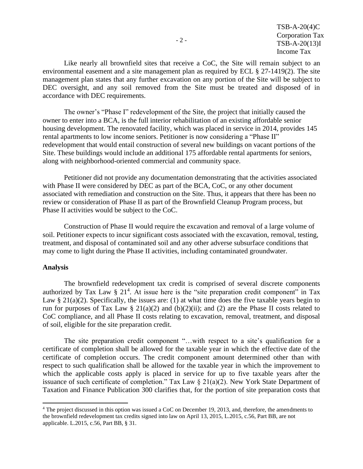Like nearly all brownfield sites that receive a CoC, the Site will remain subject to an environmental easement and a site management plan as required by ECL § 27-1419(2). The site management plan states that any further excavation on any portion of the Site will be subject to DEC oversight, and any soil removed from the Site must be treated and disposed of in accordance with DEC requirements.

The owner's "Phase I" redevelopment of the Site, the project that initially caused the owner to enter into a BCA, is the full interior rehabilitation of an existing affordable senior housing development. The renovated facility, which was placed in service in 2014, provides 145 rental apartments to low income seniors. Petitioner is now considering a "Phase II" redevelopment that would entail construction of several new buildings on vacant portions of the Site. These buildings would include an additional 175 affordable rental apartments for seniors, along with neighborhood-oriented commercial and community space.

Petitioner did not provide any documentation demonstrating that the activities associated with Phase II were considered by DEC as part of the BCA, CoC, or any other document associated with remediation and construction on the Site. Thus, it appears that there has been no review or consideration of Phase II as part of the Brownfield Cleanup Program process, but Phase II activities would be subject to the CoC.

Construction of Phase II would require the excavation and removal of a large volume of soil. Petitioner expects to incur significant costs associated with the excavation, removal, testing, treatment, and disposal of contaminated soil and any other adverse subsurface conditions that may come to light during the Phase II activities, including contaminated groundwater.

## **Analysis**

The brownfield redevelopment tax credit is comprised of several discrete components authorized by Tax Law  $\S 21<sup>4</sup>$ . At issue here is the "site preparation credit component" in Tax Law § 21(a)(2). Specifically, the issues are: (1) at what time does the five taxable years begin to run for purposes of Tax Law § 21(a)(2) and (b)(2)(ii); and (2) are the Phase II costs related to CoC compliance, and all Phase II costs relating to excavation, removal, treatment, and disposal of soil, eligible for the site preparation credit.

The site preparation credit component "…with respect to a site's qualification for a certificate of completion shall be allowed for the taxable year in which the effective date of the certificate of completion occurs. The credit component amount determined other than with respect to such qualification shall be allowed for the taxable year in which the improvement to which the applicable costs apply is placed in service for up to five taxable years after the issuance of such certificate of completion." Tax Law § 21(a)(2). New York State Department of Taxation and Finance Publication 300 clarifies that, for the portion of site preparation costs that

<sup>&</sup>lt;sup>4</sup> The project discussed in this option was issued a CoC on December 19, 2013, and, therefore, the amendments to the brownfield redevelopment tax credits signed into law on April 13, 2015, L.2015, c.56, Part BB, are not applicable. L.2015, c.56, Part BB, § 31.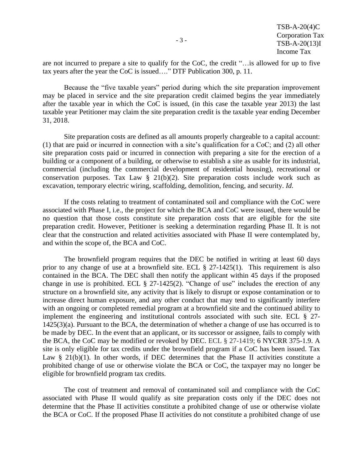are not incurred to prepare a site to qualify for the CoC, the credit "... is allowed for up to five tax years after the year the CoC is issued…." DTF Publication 300, p. 11.

Because the "five taxable years" period during which the site preparation improvement may be placed in service and the site preparation credit claimed begins the year immediately after the taxable year in which the CoC is issued, (in this case the taxable year 2013) the last taxable year Petitioner may claim the site preparation credit is the taxable year ending December 31, 2018.

Site preparation costs are defined as all amounts properly chargeable to a capital account: (1) that are paid or incurred in connection with a site's qualification for a CoC; and (2) all other site preparation costs paid or incurred in connection with preparing a site for the erection of a building or a component of a building, or otherwise to establish a site as usable for its industrial, commercial (including the commercial development of residential housing), recreational or conservation purposes. Tax Law  $\S$  21(b)(2). Site preparation costs include work such as excavation, temporary electric wiring, scaffolding, demolition, fencing, and security. *Id*.

If the costs relating to treatment of contaminated soil and compliance with the CoC were associated with Phase I, i.e., the project for which the BCA and CoC were issued, there would be no question that those costs constitute site preparation costs that are eligible for the site preparation credit. However, Petitioner is seeking a determination regarding Phase II. It is not clear that the construction and related activities associated with Phase II were contemplated by, and within the scope of, the BCA and CoC.

The brownfield program requires that the DEC be notified in writing at least 60 days prior to any change of use at a brownfield site. ECL § 27-1425(1). This requirement is also contained in the BCA. The DEC shall then notify the applicant within 45 days if the proposed change in use is prohibited. ECL  $\S$  27-1425(2). "Change of use" includes the erection of any structure on a brownfield site, any activity that is likely to disrupt or expose contamination or to increase direct human exposure, and any other conduct that may tend to significantly interfere with an ongoing or completed remedial program at a brownfield site and the continued ability to implement the engineering and institutional controls associated with such site. ECL § 27- 1425(3)(a). Pursuant to the BCA, the determination of whether a change of use has occurred is to be made by DEC. In the event that an applicant, or its successor or assignee, fails to comply with the BCA, the CoC may be modified or revoked by DEC. ECL § 27-1419; 6 NYCRR 375-1.9. A site is only eligible for tax credits under the brownfield program if a CoC has been issued. Tax Law  $\S$  21(b)(1). In other words, if DEC determines that the Phase II activities constitute a prohibited change of use or otherwise violate the BCA or CoC, the taxpayer may no longer be eligible for brownfield program tax credits.

The cost of treatment and removal of contaminated soil and compliance with the CoC associated with Phase II would qualify as site preparation costs only if the DEC does not determine that the Phase II activities constitute a prohibited change of use or otherwise violate the BCA or CoC. If the proposed Phase II activities do not constitute a prohibited change of use